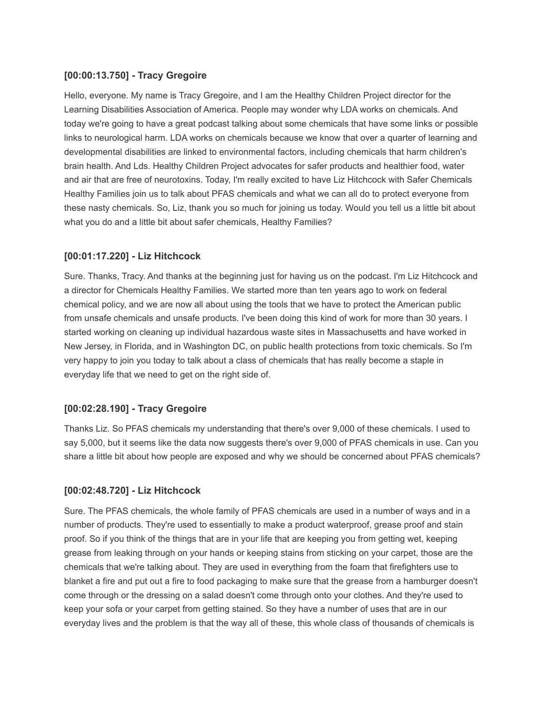# **[00:00:13.750] - Tracy Gregoire**

Hello, everyone. My name is Tracy Gregoire, and I am the Healthy Children Project director for the Learning Disabilities Association of America. People may wonder why LDA works on chemicals. And today we're going to have a great podcast talking about some chemicals that have some links or possible links to neurological harm. LDA works on chemicals because we know that over a quarter of learning and developmental disabilities are linked to environmental factors, including chemicals that harm children's brain health. And Lds. Healthy Children Project advocates for safer products and healthier food, water and air that are free of neurotoxins. Today, I'm really excited to have Liz Hitchcock with Safer Chemicals Healthy Families join us to talk about PFAS chemicals and what we can all do to protect everyone from these nasty chemicals. So, Liz, thank you so much for joining us today. Would you tell us a little bit about what you do and a little bit about safer chemicals, Healthy Families?

#### **[00:01:17.220] - Liz Hitchcock**

Sure. Thanks, Tracy. And thanks at the beginning just for having us on the podcast. I'm Liz Hitchcock and a director for Chemicals Healthy Families. We started more than ten years ago to work on federal chemical policy, and we are now all about using the tools that we have to protect the American public from unsafe chemicals and unsafe products. I've been doing this kind of work for more than 30 years. I started working on cleaning up individual hazardous waste sites in Massachusetts and have worked in New Jersey, in Florida, and in Washington DC, on public health protections from toxic chemicals. So I'm very happy to join you today to talk about a class of chemicals that has really become a staple in everyday life that we need to get on the right side of.

#### **[00:02:28.190] - Tracy Gregoire**

Thanks Liz. So PFAS chemicals my understanding that there's over 9,000 of these chemicals. I used to say 5,000, but it seems like the data now suggests there's over 9,000 of PFAS chemicals in use. Can you share a little bit about how people are exposed and why we should be concerned about PFAS chemicals?

### **[00:02:48.720] - Liz Hitchcock**

Sure. The PFAS chemicals, the whole family of PFAS chemicals are used in a number of ways and in a number of products. They're used to essentially to make a product waterproof, grease proof and stain proof. So if you think of the things that are in your life that are keeping you from getting wet, keeping grease from leaking through on your hands or keeping stains from sticking on your carpet, those are the chemicals that we're talking about. They are used in everything from the foam that firefighters use to blanket a fire and put out a fire to food packaging to make sure that the grease from a hamburger doesn't come through or the dressing on a salad doesn't come through onto your clothes. And they're used to keep your sofa or your carpet from getting stained. So they have a number of uses that are in our everyday lives and the problem is that the way all of these, this whole class of thousands of chemicals is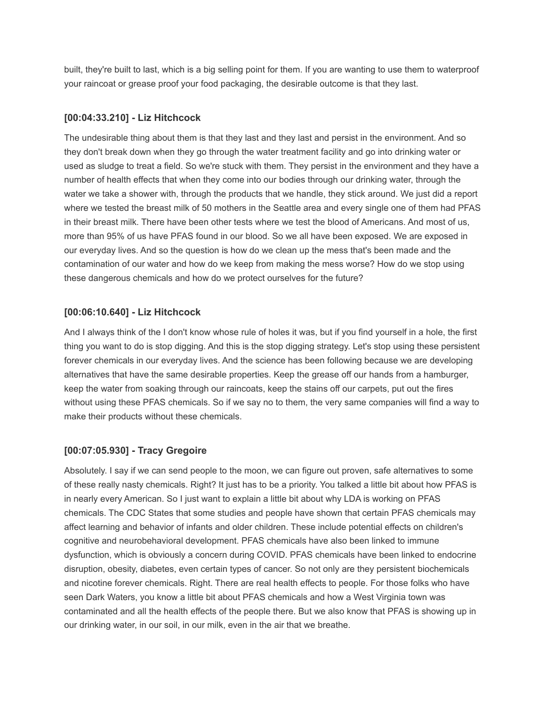built, they're built to last, which is a big selling point for them. If you are wanting to use them to waterproof your raincoat or grease proof your food packaging, the desirable outcome is that they last.

### **[00:04:33.210] - Liz Hitchcock**

The undesirable thing about them is that they last and they last and persist in the environment. And so they don't break down when they go through the water treatment facility and go into drinking water or used as sludge to treat a field. So we're stuck with them. They persist in the environment and they have a number of health effects that when they come into our bodies through our drinking water, through the water we take a shower with, through the products that we handle, they stick around. We just did a report where we tested the breast milk of 50 mothers in the Seattle area and every single one of them had PFAS in their breast milk. There have been other tests where we test the blood of Americans. And most of us, more than 95% of us have PFAS found in our blood. So we all have been exposed. We are exposed in our everyday lives. And so the question is how do we clean up the mess that's been made and the contamination of our water and how do we keep from making the mess worse? How do we stop using these dangerous chemicals and how do we protect ourselves for the future?

# **[00:06:10.640] - Liz Hitchcock**

And I always think of the I don't know whose rule of holes it was, but if you find yourself in a hole, the first thing you want to do is stop digging. And this is the stop digging strategy. Let's stop using these persistent forever chemicals in our everyday lives. And the science has been following because we are developing alternatives that have the same desirable properties. Keep the grease off our hands from a hamburger, keep the water from soaking through our raincoats, keep the stains off our carpets, put out the fires without using these PFAS chemicals. So if we say no to them, the very same companies will find a way to make their products without these chemicals.

# **[00:07:05.930] - Tracy Gregoire**

Absolutely. I say if we can send people to the moon, we can figure out proven, safe alternatives to some of these really nasty chemicals. Right? It just has to be a priority. You talked a little bit about how PFAS is in nearly every American. So I just want to explain a little bit about why LDA is working on PFAS chemicals. The CDC States that some studies and people have shown that certain PFAS chemicals may affect learning and behavior of infants and older children. These include potential effects on children's cognitive and neurobehavioral development. PFAS chemicals have also been linked to immune dysfunction, which is obviously a concern during COVID. PFAS chemicals have been linked to endocrine disruption, obesity, diabetes, even certain types of cancer. So not only are they persistent biochemicals and nicotine forever chemicals. Right. There are real health effects to people. For those folks who have seen Dark Waters, you know a little bit about PFAS chemicals and how a West Virginia town was contaminated and all the health effects of the people there. But we also know that PFAS is showing up in our drinking water, in our soil, in our milk, even in the air that we breathe.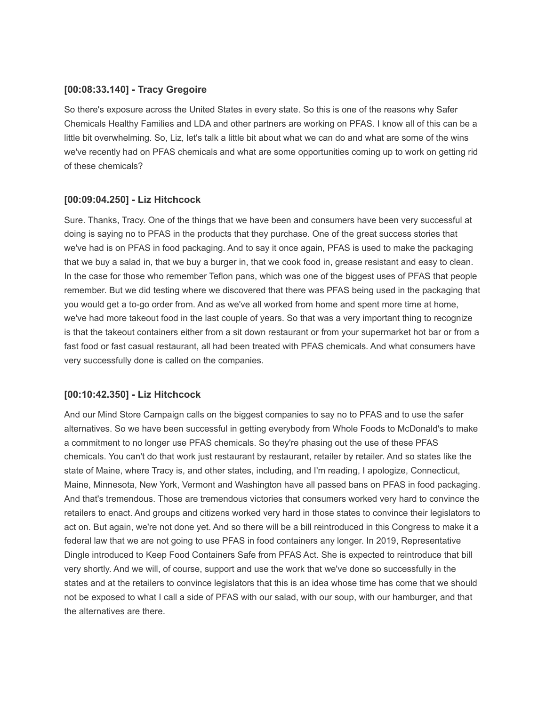#### **[00:08:33.140] - Tracy Gregoire**

So there's exposure across the United States in every state. So this is one of the reasons why Safer Chemicals Healthy Families and LDA and other partners are working on PFAS. I know all of this can be a little bit overwhelming. So, Liz, let's talk a little bit about what we can do and what are some of the wins we've recently had on PFAS chemicals and what are some opportunities coming up to work on getting rid of these chemicals?

#### **[00:09:04.250] - Liz Hitchcock**

Sure. Thanks, Tracy. One of the things that we have been and consumers have been very successful at doing is saying no to PFAS in the products that they purchase. One of the great success stories that we've had is on PFAS in food packaging. And to say it once again, PFAS is used to make the packaging that we buy a salad in, that we buy a burger in, that we cook food in, grease resistant and easy to clean. In the case for those who remember Teflon pans, which was one of the biggest uses of PFAS that people remember. But we did testing where we discovered that there was PFAS being used in the packaging that you would get a to-go order from. And as we've all worked from home and spent more time at home, we've had more takeout food in the last couple of years. So that was a very important thing to recognize is that the takeout containers either from a sit down restaurant or from your supermarket hot bar or from a fast food or fast casual restaurant, all had been treated with PFAS chemicals. And what consumers have very successfully done is called on the companies.

#### **[00:10:42.350] - Liz Hitchcock**

And our Mind Store Campaign calls on the biggest companies to say no to PFAS and to use the safer alternatives. So we have been successful in getting everybody from Whole Foods to McDonald's to make a commitment to no longer use PFAS chemicals. So they're phasing out the use of these PFAS chemicals. You can't do that work just restaurant by restaurant, retailer by retailer. And so states like the state of Maine, where Tracy is, and other states, including, and I'm reading, I apologize, Connecticut, Maine, Minnesota, New York, Vermont and Washington have all passed bans on PFAS in food packaging. And that's tremendous. Those are tremendous victories that consumers worked very hard to convince the retailers to enact. And groups and citizens worked very hard in those states to convince their legislators to act on. But again, we're not done yet. And so there will be a bill reintroduced in this Congress to make it a federal law that we are not going to use PFAS in food containers any longer. In 2019, Representative Dingle introduced to Keep Food Containers Safe from PFAS Act. She is expected to reintroduce that bill very shortly. And we will, of course, support and use the work that we've done so successfully in the states and at the retailers to convince legislators that this is an idea whose time has come that we should not be exposed to what I call a side of PFAS with our salad, with our soup, with our hamburger, and that the alternatives are there.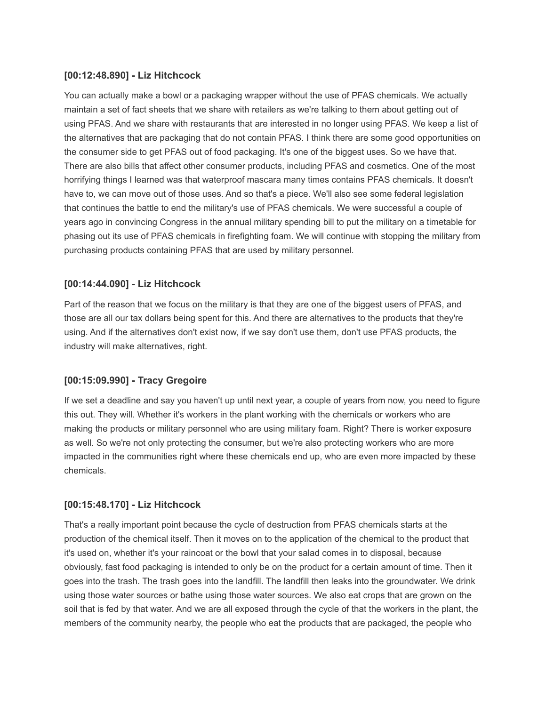# **[00:12:48.890] - Liz Hitchcock**

You can actually make a bowl or a packaging wrapper without the use of PFAS chemicals. We actually maintain a set of fact sheets that we share with retailers as we're talking to them about getting out of using PFAS. And we share with restaurants that are interested in no longer using PFAS. We keep a list of the alternatives that are packaging that do not contain PFAS. I think there are some good opportunities on the consumer side to get PFAS out of food packaging. It's one of the biggest uses. So we have that. There are also bills that affect other consumer products, including PFAS and cosmetics. One of the most horrifying things I learned was that waterproof mascara many times contains PFAS chemicals. It doesn't have to, we can move out of those uses. And so that's a piece. We'll also see some federal legislation that continues the battle to end the military's use of PFAS chemicals. We were successful a couple of years ago in convincing Congress in the annual military spending bill to put the military on a timetable for phasing out its use of PFAS chemicals in firefighting foam. We will continue with stopping the military from purchasing products containing PFAS that are used by military personnel.

# **[00:14:44.090] - Liz Hitchcock**

Part of the reason that we focus on the military is that they are one of the biggest users of PFAS, and those are all our tax dollars being spent for this. And there are alternatives to the products that they're using. And if the alternatives don't exist now, if we say don't use them, don't use PFAS products, the industry will make alternatives, right.

# **[00:15:09.990] - Tracy Gregoire**

If we set a deadline and say you haven't up until next year, a couple of years from now, you need to figure this out. They will. Whether it's workers in the plant working with the chemicals or workers who are making the products or military personnel who are using military foam. Right? There is worker exposure as well. So we're not only protecting the consumer, but we're also protecting workers who are more impacted in the communities right where these chemicals end up, who are even more impacted by these chemicals.

### **[00:15:48.170] - Liz Hitchcock**

That's a really important point because the cycle of destruction from PFAS chemicals starts at the production of the chemical itself. Then it moves on to the application of the chemical to the product that it's used on, whether it's your raincoat or the bowl that your salad comes in to disposal, because obviously, fast food packaging is intended to only be on the product for a certain amount of time. Then it goes into the trash. The trash goes into the landfill. The landfill then leaks into the groundwater. We drink using those water sources or bathe using those water sources. We also eat crops that are grown on the soil that is fed by that water. And we are all exposed through the cycle of that the workers in the plant, the members of the community nearby, the people who eat the products that are packaged, the people who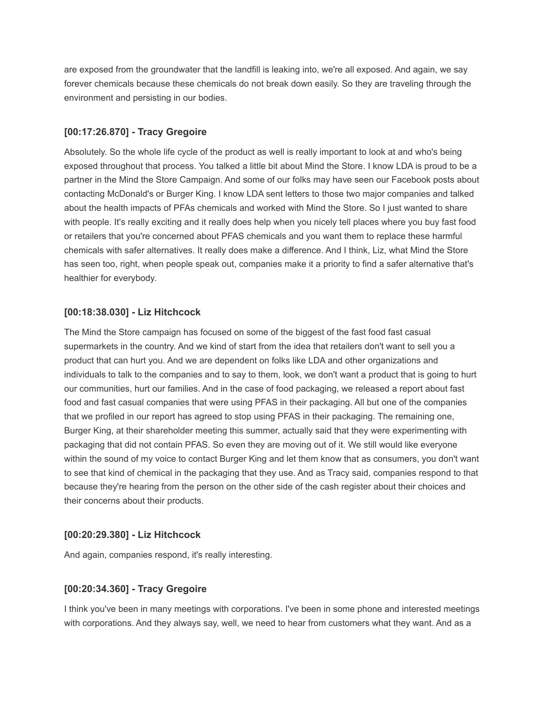are exposed from the groundwater that the landfill is leaking into, we're all exposed. And again, we say forever chemicals because these chemicals do not break down easily. So they are traveling through the environment and persisting in our bodies.

### **[00:17:26.870] - Tracy Gregoire**

Absolutely. So the whole life cycle of the product as well is really important to look at and who's being exposed throughout that process. You talked a little bit about Mind the Store. I know LDA is proud to be a partner in the Mind the Store Campaign. And some of our folks may have seen our Facebook posts about contacting McDonald's or Burger King. I know LDA sent letters to those two major companies and talked about the health impacts of PFAs chemicals and worked with Mind the Store. So I just wanted to share with people. It's really exciting and it really does help when you nicely tell places where you buy fast food or retailers that you're concerned about PFAS chemicals and you want them to replace these harmful chemicals with safer alternatives. It really does make a difference. And I think, Liz, what Mind the Store has seen too, right, when people speak out, companies make it a priority to find a safer alternative that's healthier for everybody.

# **[00:18:38.030] - Liz Hitchcock**

The Mind the Store campaign has focused on some of the biggest of the fast food fast casual supermarkets in the country. And we kind of start from the idea that retailers don't want to sell you a product that can hurt you. And we are dependent on folks like LDA and other organizations and individuals to talk to the companies and to say to them, look, we don't want a product that is going to hurt our communities, hurt our families. And in the case of food packaging, we released a report about fast food and fast casual companies that were using PFAS in their packaging. All but one of the companies that we profiled in our report has agreed to stop using PFAS in their packaging. The remaining one, Burger King, at their shareholder meeting this summer, actually said that they were experimenting with packaging that did not contain PFAS. So even they are moving out of it. We still would like everyone within the sound of my voice to contact Burger King and let them know that as consumers, you don't want to see that kind of chemical in the packaging that they use. And as Tracy said, companies respond to that because they're hearing from the person on the other side of the cash register about their choices and their concerns about their products.

### **[00:20:29.380] - Liz Hitchcock**

And again, companies respond, it's really interesting.

### **[00:20:34.360] - Tracy Gregoire**

I think you've been in many meetings with corporations. I've been in some phone and interested meetings with corporations. And they always say, well, we need to hear from customers what they want. And as a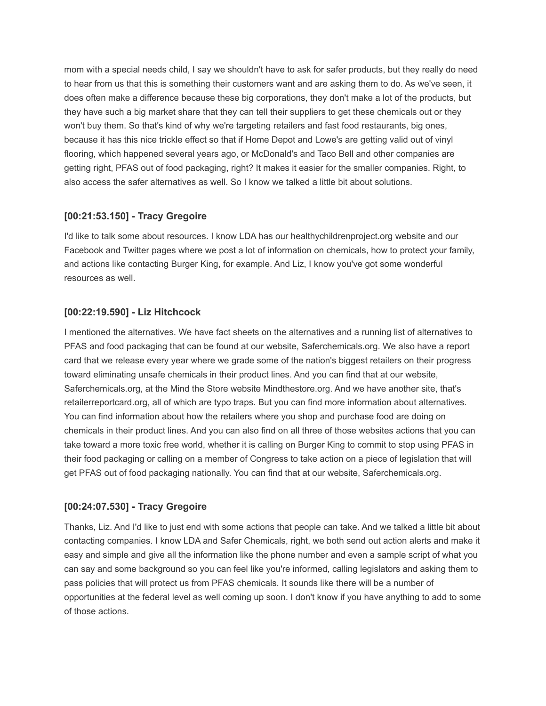mom with a special needs child, I say we shouldn't have to ask for safer products, but they really do need to hear from us that this is something their customers want and are asking them to do. As we've seen, it does often make a difference because these big corporations, they don't make a lot of the products, but they have such a big market share that they can tell their suppliers to get these chemicals out or they won't buy them. So that's kind of why we're targeting retailers and fast food restaurants, big ones, because it has this nice trickle effect so that if Home Depot and Lowe's are getting valid out of vinyl flooring, which happened several years ago, or McDonald's and Taco Bell and other companies are getting right, PFAS out of food packaging, right? It makes it easier for the smaller companies. Right, to also access the safer alternatives as well. So I know we talked a little bit about solutions.

# **[00:21:53.150] - Tracy Gregoire**

I'd like to talk some about resources. I know LDA has our healthychildrenproject.org website and our Facebook and Twitter pages where we post a lot of information on chemicals, how to protect your family, and actions like contacting Burger King, for example. And Liz, I know you've got some wonderful resources as well.

# **[00:22:19.590] - Liz Hitchcock**

I mentioned the alternatives. We have fact sheets on the alternatives and a running list of alternatives to PFAS and food packaging that can be found at our website, Saferchemicals.org. We also have a report card that we release every year where we grade some of the nation's biggest retailers on their progress toward eliminating unsafe chemicals in their product lines. And you can find that at our website, Saferchemicals.org, at the Mind the Store website Mindthestore.org. And we have another site, that's retailerreportcard.org, all of which are typo traps. But you can find more information about alternatives. You can find information about how the retailers where you shop and purchase food are doing on chemicals in their product lines. And you can also find on all three of those websites actions that you can take toward a more toxic free world, whether it is calling on Burger King to commit to stop using PFAS in their food packaging or calling on a member of Congress to take action on a piece of legislation that will get PFAS out of food packaging nationally. You can find that at our website, Saferchemicals.org.

### **[00:24:07.530] - Tracy Gregoire**

Thanks, Liz. And I'd like to just end with some actions that people can take. And we talked a little bit about contacting companies. I know LDA and Safer Chemicals, right, we both send out action alerts and make it easy and simple and give all the information like the phone number and even a sample script of what you can say and some background so you can feel like you're informed, calling legislators and asking them to pass policies that will protect us from PFAS chemicals. It sounds like there will be a number of opportunities at the federal level as well coming up soon. I don't know if you have anything to add to some of those actions.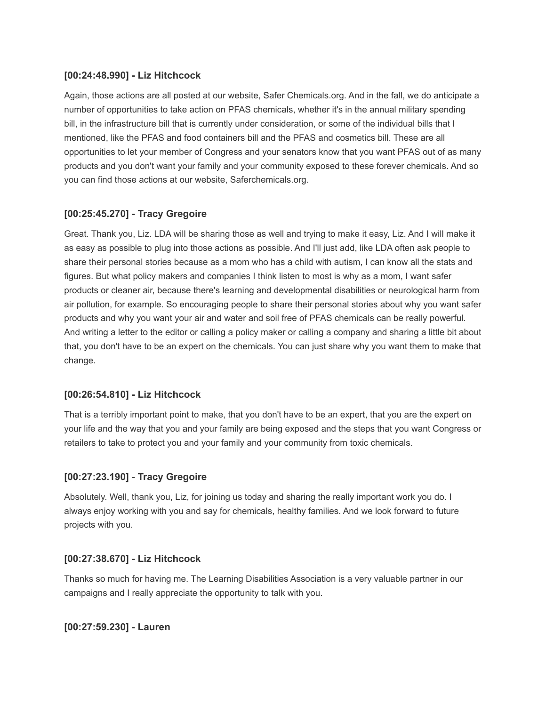## **[00:24:48.990] - Liz Hitchcock**

Again, those actions are all posted at our website, Safer Chemicals.org. And in the fall, we do anticipate a number of opportunities to take action on PFAS chemicals, whether it's in the annual military spending bill, in the infrastructure bill that is currently under consideration, or some of the individual bills that I mentioned, like the PFAS and food containers bill and the PFAS and cosmetics bill. These are all opportunities to let your member of Congress and your senators know that you want PFAS out of as many products and you don't want your family and your community exposed to these forever chemicals. And so you can find those actions at our website, Saferchemicals.org.

# **[00:25:45.270] - Tracy Gregoire**

Great. Thank you, Liz. LDA will be sharing those as well and trying to make it easy, Liz. And I will make it as easy as possible to plug into those actions as possible. And I'll just add, like LDA often ask people to share their personal stories because as a mom who has a child with autism, I can know all the stats and figures. But what policy makers and companies I think listen to most is why as a mom, I want safer products or cleaner air, because there's learning and developmental disabilities or neurological harm from air pollution, for example. So encouraging people to share their personal stories about why you want safer products and why you want your air and water and soil free of PFAS chemicals can be really powerful. And writing a letter to the editor or calling a policy maker or calling a company and sharing a little bit about that, you don't have to be an expert on the chemicals. You can just share why you want them to make that change.

### **[00:26:54.810] - Liz Hitchcock**

That is a terribly important point to make, that you don't have to be an expert, that you are the expert on your life and the way that you and your family are being exposed and the steps that you want Congress or retailers to take to protect you and your family and your community from toxic chemicals.

### **[00:27:23.190] - Tracy Gregoire**

Absolutely. Well, thank you, Liz, for joining us today and sharing the really important work you do. I always enjoy working with you and say for chemicals, healthy families. And we look forward to future projects with you.

### **[00:27:38.670] - Liz Hitchcock**

Thanks so much for having me. The Learning Disabilities Association is a very valuable partner in our campaigns and I really appreciate the opportunity to talk with you.

### **[00:27:59.230] - Lauren**